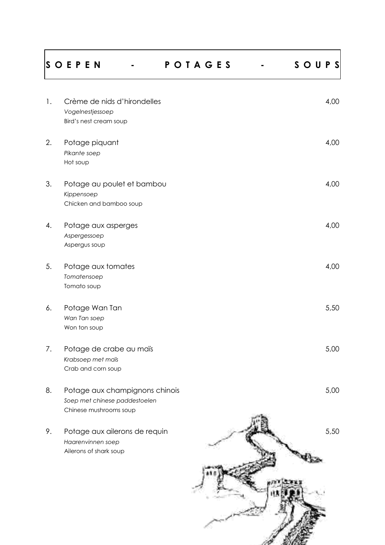|    | <b>SOEPEN</b><br><b>POTAGES</b><br>S O U                                                  | S<br>P |
|----|-------------------------------------------------------------------------------------------|--------|
| 1. | Crème de nids d'hirondelles<br>Vogelnestjessoep<br>Bird's nest cream soup                 | 4,00   |
| 2. | Potage piquant<br>Pikante soep<br>Hot soup                                                | 4,00   |
| 3. | Potage au poulet et bambou<br>Kippensoep<br>Chicken and bamboo soup                       | 4,00   |
| 4. | Potage aux asperges<br>Aspergessoep<br>Aspergus soup                                      | 4,00   |
| 5. | Potage aux tomates<br>Tomatensoep<br>Tomato soup                                          | 4,00   |
| 6. | Potage Wan Tan<br>Wan Tan soep<br>Won ton soup                                            | 5,50   |
| 7. | Potage de crabe au maïs<br>Krabsoep met maïs<br>Crab and corn soup                        | 5,00   |
| 8. | Potage aux champignons chinois<br>Soep met chinese paddestoelen<br>Chinese mushrooms soup | 5,00   |
| 9. | Potage aux ailerons de requin<br>Haarenvinnen soep<br>Ailerons of shark soup              | 5,50   |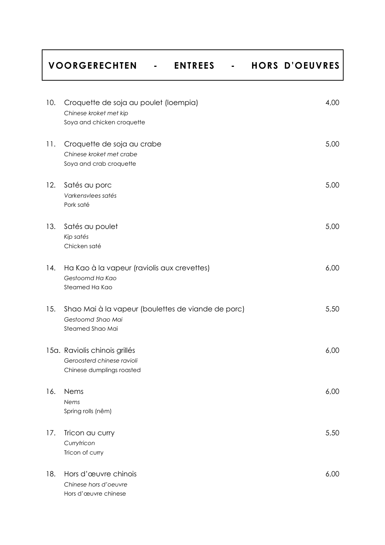## **VOORGERECHTEN - ENTREES - HORS D'OEUVRES**

| 10. | Croquette de soja au poulet (loempia)<br>Chinese kroket met kip<br>Soya and chicken croquette | 4,00 |
|-----|-----------------------------------------------------------------------------------------------|------|
| 11. | Croquette de soja au crabe<br>Chinese kroket met crabe<br>Soya and crab croquette             | 5,00 |
| 12. | Satés au porc<br>Varkensvlees satés<br>Pork saté                                              | 5,00 |
| 13. | Satés au poulet<br>Kip satés<br>Chicken saté                                                  | 5,00 |
| 14. | Ha Kao à la vapeur (raviolis aux crevettes)<br>Gestoomd Ha Kao<br>Steamed Ha Kao              | 6,00 |
| 15. | Shao Mai à la vapeur (boulettes de viande de porc)<br>Gestoomd Shao Mai<br>Steamed Shao Mai   | 5,50 |
|     | 15a. Raviolis chinois grillés<br>Geroosterd chinese ravioli<br>Chinese dumplings roasted      | 6,00 |
| 16. | Nems<br>Nems<br>Spring rolls (nêm)                                                            | 6,00 |
| 17. | Tricon au curry<br>Currytricon<br>Tricon of curry                                             | 5,50 |
| 18. | Hors d'œuvre chinois<br>Chinese hors d'oeuvre<br>Hors d'œuvre chinese                         | 6,00 |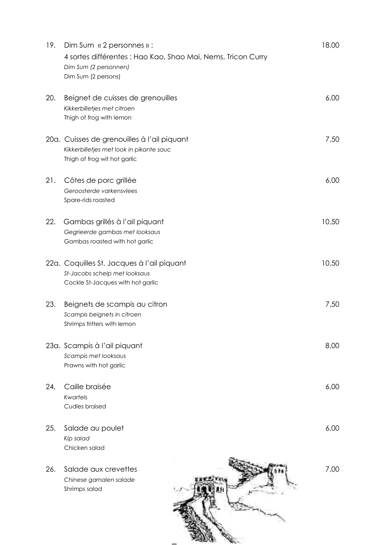| 19. | Dim Sum « 2 personnes » :<br>4 sortes différentes : Hao Kao, Shao Mai, Nems, Tricon Curry<br>Dim Sum (2 personnen)<br>Dim Sum (2 persons) | 18,00 |
|-----|-------------------------------------------------------------------------------------------------------------------------------------------|-------|
| 20. | Beignet de cuisses de grenouilles<br>Kikkerbilletjes met citroen<br>Thigh of frog with lemon                                              | 6,00  |
|     | 20a. Cuisses de grenouilles à l'ail piquant<br>Kikkerbilletjes met look in pikante sauc<br>Thigh of frog wit hot garlic                   | 7,50  |
| 21. | Côtes de porc grillée<br>Geroosterde varkensvlees<br>Spare-rids roasted                                                                   | 6,00  |
| 22. | Gambas grillés à l'ail piquant<br>Gegrieerde gambas met looksaus<br>Gambas roasted with hot garlic                                        | 10,50 |
|     | 22a. Coquilles St. Jacques à l'ail piquant<br>St-Jacobs schelp met looksaus<br>Cockle St-Jacques with hot garlic                          | 10,50 |
| 23. | Beignets de scampis au citron<br>Scampis beignets in citroen<br>Shrimps fritters with lemon                                               | 7,50  |
|     | 23a. Scampis à l'ail piquant<br>Scampis met looksaus<br>Prawns with hot garlic                                                            | 8,00  |
| 24. | Caille braisée<br>Kwartels<br>Cudles braised                                                                                              | 6,00  |
| 25. | Salade au poulet<br>Kip salad<br>Chicken salad                                                                                            | 6,00  |
| 26. | Salade aux crevettes<br>Chinese garnalen salade<br>Shrimps salad                                                                          | 7,00  |

دياءية

en la compartir de la compartir de la compartir de la compartir de la compartir de la compartir de la compartir<br>Del compartir de la compartir de la compartir de la compartir de la compartir de la compartir de la compartir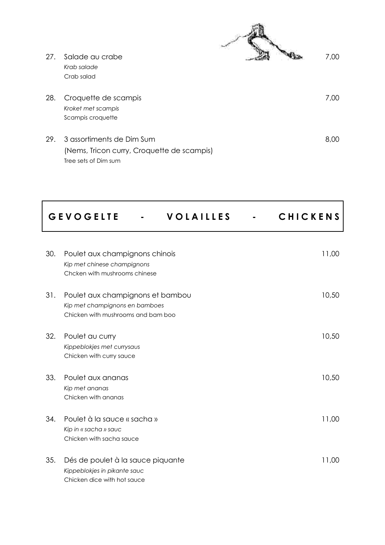| 27. | Salade au crabe                            |  | 7,00 |
|-----|--------------------------------------------|--|------|
|     | Krab salade                                |  |      |
|     | Crab salad                                 |  |      |
| 28. | Croquette de scampis                       |  | 7,00 |
|     | Kroket met scampis                         |  |      |
|     | Scampis croquette                          |  |      |
| 29. | 3 assortiments de Dim Sum                  |  | 8,00 |
|     | (Nems, Tricon curry, Croquette de scampis) |  |      |
|     | Tree sets of Dim sum                       |  |      |

 $\mathbf{r}$ 

|     | <b>GEVOGELTE</b>                                                                                         | <b>VOLAILLES</b> | <b>CHICKENS</b> |
|-----|----------------------------------------------------------------------------------------------------------|------------------|-----------------|
| 30. | Poulet aux champignons chinois<br>Kip met chinese champignons<br>Chcken with mushrooms chinese           |                  | 11,00           |
| 31. | Poulet aux champignons et bambou<br>Kip met champignons en bamboes<br>Chicken with mushrooms and bam boo |                  | 10,50           |
| 32. | Poulet au curry<br>Kippeblokjes met currysaus<br>Chicken with curry sauce                                |                  | 10,50           |
| 33. | Poulet aux ananas<br>Kip met ananas<br>Chicken with ananas                                               |                  | 10,50           |
| 34. | Poulet à la sauce « sacha »<br>Kip in « sacha » sauc<br>Chicken with sacha sauce                         |                  | 11,00           |
| 35. | Dés de poulet à la sauce piquante<br>Kippeblokjes in pikante sauc<br>Chicken dice with hot sauce         |                  | 11,00           |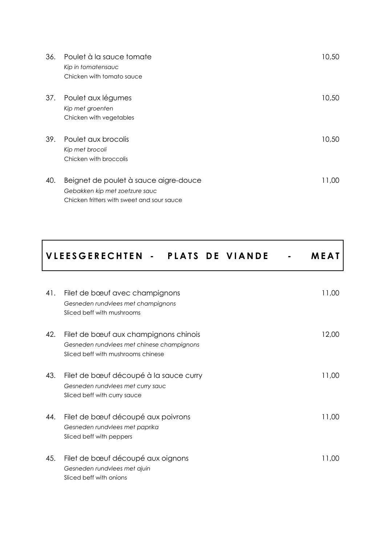| 36. | Poulet à la sauce tomate<br>Kip in tomatensauc<br>Chicken with tomato sauce                                           | 10,50 |
|-----|-----------------------------------------------------------------------------------------------------------------------|-------|
| 37. | Poulet aux légumes<br>Kip met groenten<br>Chicken with vegetables                                                     | 10,50 |
| 39. | Poulet aux brocolis<br>Kip met brocoli<br>Chicken with broccolis                                                      | 10,50 |
| 40. | Beignet de poulet à sauce aigre-douce<br>Gebakken kip met zoetzure sauc<br>Chicken fritters with sweet and sour sauce | 11,00 |

## **VLEESGERECHTEN - PLATS DE VIANDE - MEAT**

| 41. | Filet de bœuf avec champignons<br>Gesneden rundvlees met champignons<br>Sliced beff with mushrooms                        | 11,00 |
|-----|---------------------------------------------------------------------------------------------------------------------------|-------|
| 42. | Filet de bœuf aux champignons chinois<br>Gesneden rundvlees met chinese champignons<br>Sliced beff with mushrooms chinese | 12,00 |
| 43. | Filet de bœuf découpé à la sauce curry<br>Gesneden rundvlees met curry sauc<br>Sliced beff with curry sauce               | 11,00 |
| 44. | Filet de bœuf découpé aux poivrons<br>Gesneden rundvlees met paprika<br>Sliced beff with peppers                          | 11,00 |
| 45. | Filet de bœuf découpé aux oignons<br>Gesneden rundvlees met ajuin<br>Sliced beff with onions                              | 11,00 |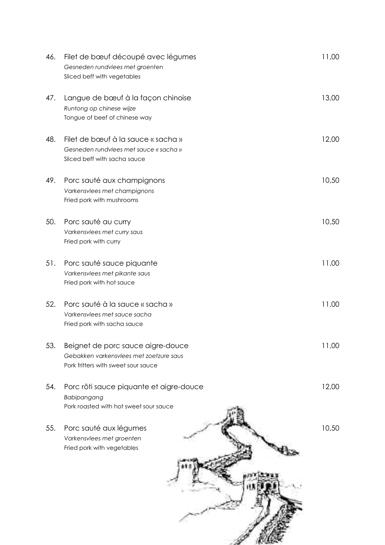| 46. | Filet de bœuf découpé avec légumes<br>Gesneden rundvlees met groenten<br>Sliced beff with vegetables                | 11,00 |
|-----|---------------------------------------------------------------------------------------------------------------------|-------|
| 47. | Langue de bœuf à la façon chinoise<br>Runtong op chinese wijze<br>Tongue of beef of chinese way                     | 13,00 |
| 48. | Filet de bœuf à la sauce « sacha »<br>Gesneden rundvlees met sauce « sacha »<br>Sliced beff with sacha sauce        | 12,00 |
| 49. | Porc sauté aux champignons<br>Varkensvlees met champignons<br>Fried pork with mushrooms                             | 10,50 |
| 50. | Porc sauté au curry<br>Varkensvlees met curry saus<br>Fried pork with curry                                         | 10,50 |
| 51. | Porc sauté sauce piquante<br>Varkensvlees met pikante saus<br>Fried pork with hot sauce                             | 11,00 |
| 52. | Porc sauté à la sauce « sacha »<br>Varkensvlees met sauce sacha<br>Fried pork with sacha sauce                      | 11,00 |
| 53. | Beignet de porc sauce aigre-douce<br>Gebakken varkensvlees met zoetzure saus<br>Pork fritters with sweet sour sauce | 11,00 |
| 54. | Porc rôti sauce piquante et aigre-douce<br>Babipangang<br>Pork roasted with hot sweet sour sauce                    | 12,00 |
| 55. | Porc sauté aux légumes<br>Varkensvlees met groenten<br>Fried pork with vegetables                                   | 10,50 |
|     |                                                                                                                     |       |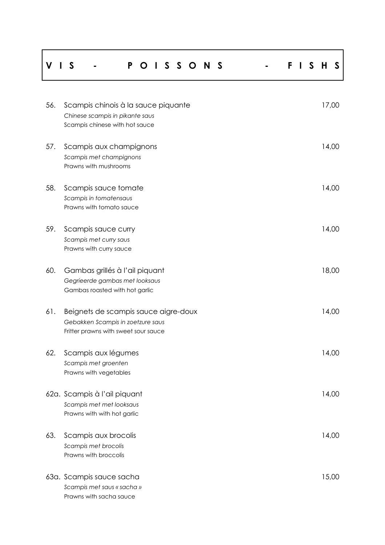|     | S<br>$S \ S$<br>P<br>O                                                                                            | S |  | F | <sub>S</sub> | H.    | <sub>S</sub> |
|-----|-------------------------------------------------------------------------------------------------------------------|---|--|---|--------------|-------|--------------|
| 56. | Scampis chinois à la sauce piquante<br>Chinese scampis in pikante saus<br>Scampis chinese with hot sauce          |   |  |   |              | 17,00 |              |
| 57. | Scampis aux champignons<br>Scampis met champignons<br>Prawns with mushrooms                                       |   |  |   |              | 14,00 |              |
| 58. | Scampis sauce tomate<br>Scampis in tomatensaus<br>Prawns with tomato sauce                                        |   |  |   |              | 14,00 |              |
| 59. | Scampis sauce curry<br>Scampis met curry saus<br>Prawns with curry sauce                                          |   |  |   |              | 14,00 |              |
| 60. | Gambas grillés à l'ail piquant<br>Gegrieerde gambas met looksaus<br>Gambas roasted with hot garlic                |   |  |   |              | 18,00 |              |
| 61. | Beignets de scampis sauce aigre-doux<br>Gebakken Scampis in zoetzure saus<br>Fritter prawns with sweet sour sauce |   |  |   |              | 14,00 |              |
| 62. | Scampis aux légumes<br>Scampis met groenten<br>Prawns with vegetables                                             |   |  |   |              | 14,00 |              |
|     | 62a. Scampis à l'ail piquant<br>Scampis met met looksaus<br>Prawns with with hot garlic                           |   |  |   |              | 14,00 |              |
| 63. | Scampis aux brocolis<br>Scampis met brocolis<br>Prawns with broccolis                                             |   |  |   |              | 14,00 |              |
|     | 63a. Scampis sauce sacha<br>Scampis met saus « sacha »<br>Prawns with sacha sauce                                 |   |  |   |              | 15,00 |              |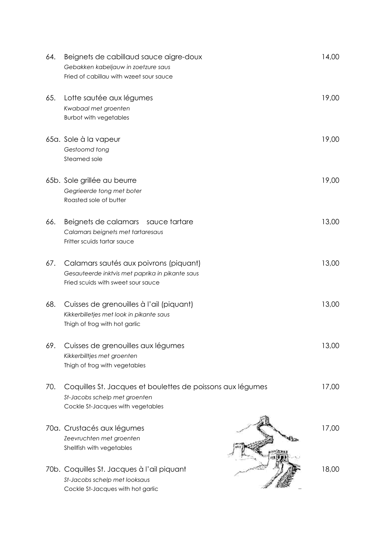| 64. | Beignets de cabillaud sauce aigre-doux<br>Gebakken kabeljauw in zoetzure saus<br>Fried of cabillau with wzeet sour sauce         | 14,00 |
|-----|----------------------------------------------------------------------------------------------------------------------------------|-------|
| 65. | Lotte sautée aux légumes<br>Kwabaal met groenten<br><b>Burbot with vegetables</b>                                                | 19,00 |
|     | 65a. Sole à la vapeur<br>Gestoomd tong<br>Steamed sole                                                                           | 19,00 |
|     | 65b. Sole grillée au beurre<br>Gegrieerde tong met boter<br>Roasted sole of butter                                               | 19,00 |
| 66. | Beignets de calamars sauce tartare<br>Calamars beignets met tartaresaus<br>Fritter scuids tartar sauce                           | 13,00 |
| 67. | Calamars sautés aux poivrons (piquant)<br>Gesauteerde inktvis met paprika in pikante saus<br>Fried scuids with sweet sour sauce  | 13,00 |
| 68. | Cuisses de grenouilles à l'ail (piquant)<br>Kikkerbilletjes met look in pikante saus<br>Thigh of frog with hot garlic            | 13,00 |
| 69. | Cuisses de grenouilles aux légumes<br>Kikkerbilltjes met groenten<br>Thigh of frog with vegetables                               | 13,00 |
| 70. | Coquilles St. Jacques et boulettes de poissons aux légumes<br>St-Jacobs schelp met groenten<br>Cockle St-Jacques with vegetables | 17,00 |
|     | 70a. Crustacés aux légumes<br>Zeevruchten met groenten<br>Shellfish with vegetables                                              | 17,00 |
|     | 70b. Coquilles St. Jacques à l'ail piquant<br>St-Jacobs schelp met looksaus<br>Cockle St-Jacques with hot garlic                 | 18,00 |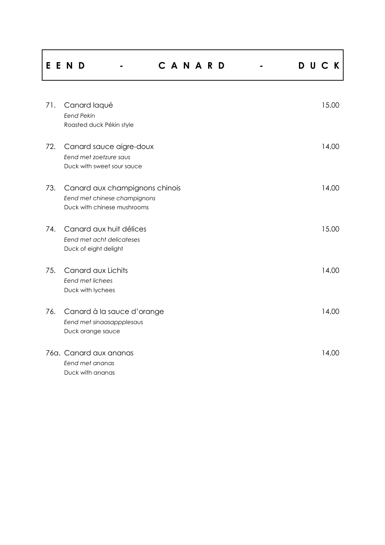|     | EEND<br>CANARD                                                                                | U.<br>D. | K<br>C |
|-----|-----------------------------------------------------------------------------------------------|----------|--------|
|     |                                                                                               |          |        |
| 71. | Canard laqué<br><b>Eend Pekin</b><br>Roasted duck Pékin style                                 |          | 15,00  |
| 72. | Canard sauce aigre-doux<br>Eend met zoetzure saus<br>Duck with sweet sour sauce               |          | 14,00  |
| 73. | Canard aux champignons chinois<br>Eend met chinese champignons<br>Duck with chinese mushrooms |          | 14,00  |
| 74. | Canard aux huit délices<br>Eend met acht delicateses<br>Duck of eight delight                 |          | 15,00  |
| 75. | Canard aux Lichits<br>Eend met lichees<br>Duck with lychees                                   |          | 14,00  |
| 76. | Canard à la sauce d'orange<br>Eend met sinaasappplesaus<br>Duck orange sauce                  |          | 14,00  |
|     | 76a. Canard aux ananas<br>Eend met ananas<br>Duck with ananas                                 |          | 14,00  |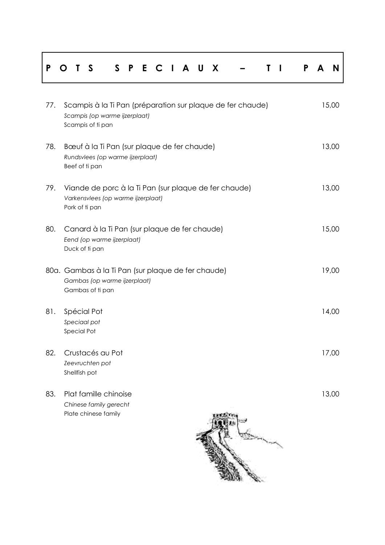|     | S P E C I A U X                                                                                                  | P     |
|-----|------------------------------------------------------------------------------------------------------------------|-------|
| 77. | Scampis à la Ti Pan (préparation sur plaque de fer chaude)<br>Scampis (op warme ijzerplaat)<br>Scampis of ti pan | 15,00 |
| 78. | Bœuf à la Ti Pan (sur plaque de fer chaude)<br>Rundsvlees (op warme ijzerplaat)<br>Beef of ti pan                | 13,00 |
| 79. | Viande de porc à la Ti Pan (sur plaque de fer chaude)                                                            | 13,00 |

- *Varkensvlees (op warme ijzerplaat)*  Pork of ti pan
- 80. Canard à la Ti Pan (sur plaque de fer chaude) 15,00  *Eend (op warme ijzerplaat)*  Duck of ti pan
- 80a. Gambas à la Ti Pan (sur plaque de fer chaude) 19,00  *Gambas (op warme ijzerplaat)*  Gambas of ti pan
- 81. Spécial Pot 14,00  *Speciaal pot*  Special Pot
- 82. Crustacés au Pot  *Zeevruchten pot*  Shellfish pot
- 83. Plat famille chinoise 13,00  *Chinese family gerecht*  Plate chinese family

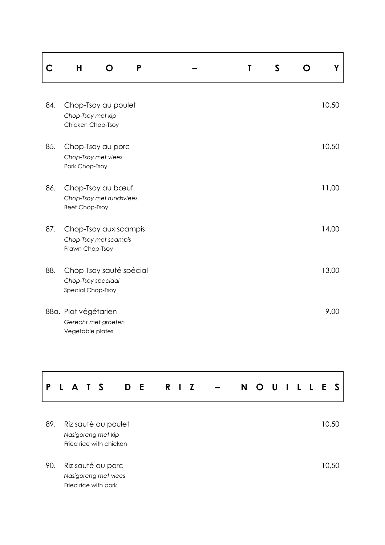| C   | Н                                                                      | P |  | Т | S | Y     |
|-----|------------------------------------------------------------------------|---|--|---|---|-------|
| 84. | Chop-Tsoy au poulet<br>Chop-Tsoy met kip<br>Chicken Chop-Tsoy          |   |  |   |   | 10,50 |
| 85. | Chop-Tsoy au porc<br>Chop-Tsoy met vlees<br>Pork Chop-Tsoy             |   |  |   |   | 10,50 |
| 86. | Chop-Tsoy au bœuf<br>Chop-Tsoy met rundsvlees<br><b>Beef Chop-Tsoy</b> |   |  |   |   | 11,00 |
| 87. | Chop-Tsoy aux scampis<br>Chop-Tsoy met scampis<br>Prawn Chop-Tsoy      |   |  |   |   | 14,00 |
| 88. | Chop-Tsoy sauté spécial<br>Chop-Tsoy speciaal<br>Special Chop-Tsoy     |   |  |   |   | 13,00 |
|     | 88a. Plat végétarien<br>Gerecht met groeten<br>Vegetable plates        |   |  |   |   | 9,00  |

Ţ

|  |  | PLATS DE RIZ - NOUILLES |  |  |  |  |  |  |  |
|--|--|-------------------------|--|--|--|--|--|--|--|
|  |  |                         |  |  |  |  |  |  |  |

| 89. | Riz sauté au poulet<br>Nasigoreng met kip    |       |  |  |  |  |
|-----|----------------------------------------------|-------|--|--|--|--|
|     | Fried rice with chicken                      |       |  |  |  |  |
| 90. | Riz sauté au porc                            | 10,50 |  |  |  |  |
|     | Nasigoreng met vlees<br>Fried rice with pork |       |  |  |  |  |